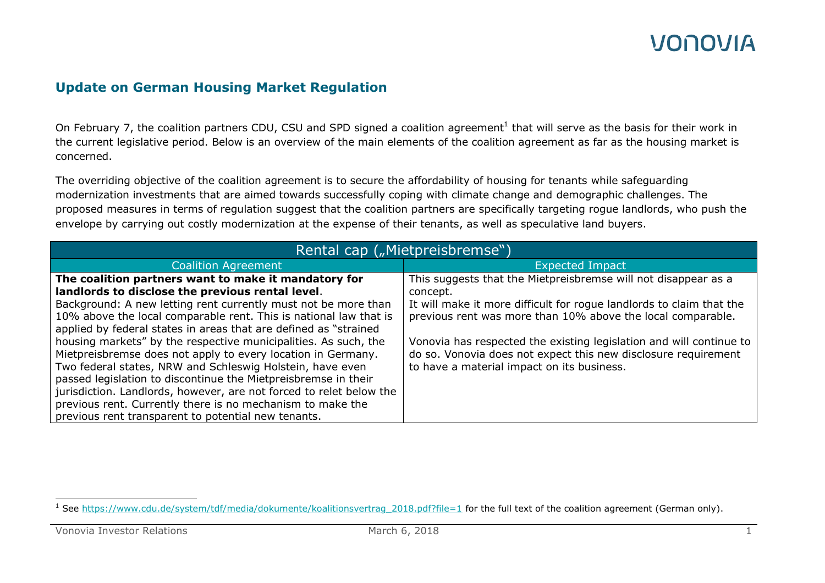#### **Update on German Housing Market Regulation**

On February 7, the coalition partners CDU, CSU and SPD signed a coalition agreement<sup>1</sup> that will serve as the basis for their work in the current legislative period. Below is an overview of the main elements of the coalition agreement as far as the housing market is concerned.

The overriding objective of the coalition agreement is to secure the affordability of housing for tenants while safeguarding modernization investments that are aimed towards successfully coping with climate change and demographic challenges. The proposed measures in terms of regulation suggest that the coalition partners are specifically targeting rogue landlords, who push the envelope by carrying out costly modernization at the expense of their tenants, as well as speculative land buyers.

| Rental cap ("Mietpreisbremse")                                      |                                                                      |
|---------------------------------------------------------------------|----------------------------------------------------------------------|
| <b>Coalition Agreement</b>                                          | <b>Expected Impact</b>                                               |
| The coalition partners want to make it mandatory for                | This suggests that the Mietpreisbremse will not disappear as a       |
| landlords to disclose the previous rental level.                    | concept.                                                             |
| Background: A new letting rent currently must not be more than      | It will make it more difficult for rogue landlords to claim that the |
| 10% above the local comparable rent. This is national law that is   | previous rent was more than 10% above the local comparable.          |
| applied by federal states in areas that are defined as "strained    |                                                                      |
| housing markets" by the respective municipalities. As such, the     | Vonovia has respected the existing legislation and will continue to  |
| Mietpreisbremse does not apply to every location in Germany.        | do so. Vonovia does not expect this new disclosure requirement       |
| Two federal states, NRW and Schleswig Holstein, have even           | to have a material impact on its business.                           |
| passed legislation to discontinue the Mietpreisbremse in their      |                                                                      |
| jurisdiction. Landlords, however, are not forced to relet below the |                                                                      |
| previous rent. Currently there is no mechanism to make the          |                                                                      |
| previous rent transparent to potential new tenants.                 |                                                                      |

 $\overline{a}$ <sup>1</sup> See https://www.cdu.de/system/tdf/media/dokumente/koalitionsvertrag 2018.pdf?file=1 for the full text of the coalition agreement (German only).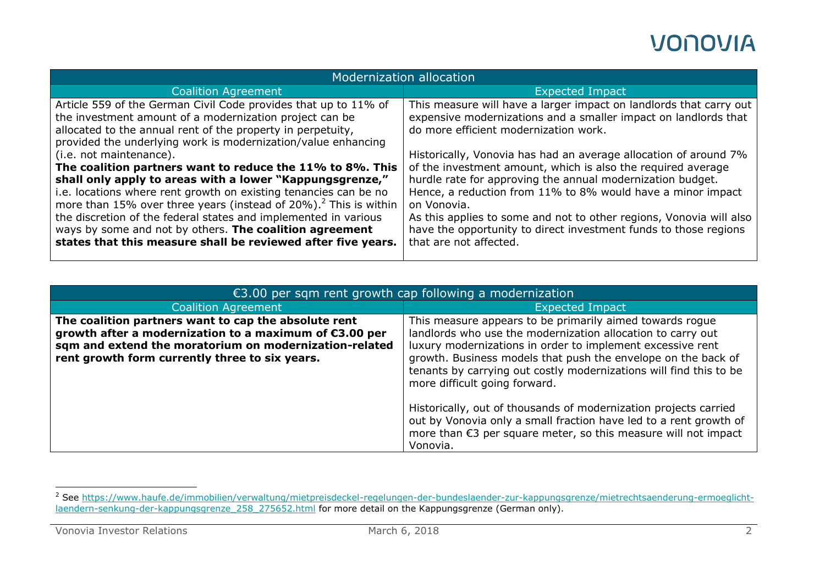| Modernization allocation                                                                                                                                                                                                                                                                                                                                                    |                                                                                                                                                                                                                                                                                                                                                     |  |
|-----------------------------------------------------------------------------------------------------------------------------------------------------------------------------------------------------------------------------------------------------------------------------------------------------------------------------------------------------------------------------|-----------------------------------------------------------------------------------------------------------------------------------------------------------------------------------------------------------------------------------------------------------------------------------------------------------------------------------------------------|--|
| <b>Coalition Agreement</b>                                                                                                                                                                                                                                                                                                                                                  | <b>Expected Impact</b>                                                                                                                                                                                                                                                                                                                              |  |
| Article 559 of the German Civil Code provides that up to 11% of<br>the investment amount of a modernization project can be<br>allocated to the annual rent of the property in perpetuity,<br>provided the underlying work is modernization/value enhancing                                                                                                                  | This measure will have a larger impact on landlords that carry out<br>expensive modernizations and a smaller impact on landlords that<br>do more efficient modernization work.                                                                                                                                                                      |  |
| (i.e. not maintenance).<br>The coalition partners want to reduce the 11% to 8%. This<br>shall only apply to areas with a lower "Kappungsgrenze,"<br>i.e. locations where rent growth on existing tenancies can be no<br>more than 15% over three years (instead of $20\%$ ). <sup>2</sup> This is within<br>the discretion of the federal states and implemented in various | Historically, Vonovia has had an average allocation of around 7%<br>of the investment amount, which is also the required average<br>hurdle rate for approving the annual modernization budget.<br>Hence, a reduction from 11% to 8% would have a minor impact<br>on Vonovia.<br>As this applies to some and not to other regions, Vonovia will also |  |
| ways by some and not by others. The coalition agreement<br>states that this measure shall be reviewed after five years.                                                                                                                                                                                                                                                     | have the opportunity to direct investment funds to those regions<br>that are not affected.                                                                                                                                                                                                                                                          |  |

| $\epsilon$ 3.00 per sqm rent growth cap following a modernization                                                                                                                                                          |                                                                                                                                                                                                                                                                                                                                                                                                                                                                                                                                                                          |
|----------------------------------------------------------------------------------------------------------------------------------------------------------------------------------------------------------------------------|--------------------------------------------------------------------------------------------------------------------------------------------------------------------------------------------------------------------------------------------------------------------------------------------------------------------------------------------------------------------------------------------------------------------------------------------------------------------------------------------------------------------------------------------------------------------------|
| <b>Coalition Agreement</b>                                                                                                                                                                                                 | <b>Expected Impact</b>                                                                                                                                                                                                                                                                                                                                                                                                                                                                                                                                                   |
| The coalition partners want to cap the absolute rent<br>growth after a modernization to a maximum of €3.00 per<br>sqm and extend the moratorium on modernization-related<br>rent growth form currently three to six years. | This measure appears to be primarily aimed towards rogue<br>landlords who use the modernization allocation to carry out<br>luxury modernizations in order to implement excessive rent<br>growth. Business models that push the envelope on the back of<br>tenants by carrying out costly modernizations will find this to be<br>more difficult going forward.<br>Historically, out of thousands of modernization projects carried<br>out by Vonovia only a small fraction have led to a rent growth of<br>more than €3 per square meter, so this measure will not impact |
|                                                                                                                                                                                                                            | Vonovia.                                                                                                                                                                                                                                                                                                                                                                                                                                                                                                                                                                 |

 $\overline{a}$ 

<sup>&</sup>lt;sup>2</sup> See [https://www.haufe.de/immobilien/verwaltung/mietpreisdeckel-regelungen-der-bundeslaender-zur-kappungsgrenze/mietrechtsaenderung-ermoeglicht](https://www.haufe.de/immobilien/verwaltung/mietpreisdeckel-regelungen-der-bundeslaender-zur-kappungsgrenze/mietrechtsaenderung-ermoeglicht-laendern-senkung-der-kappungsgrenze_258_275652.html)laendern-senkung-der-kappungsgrenze 258 275652.html for more detail on the Kappungsgrenze (German only).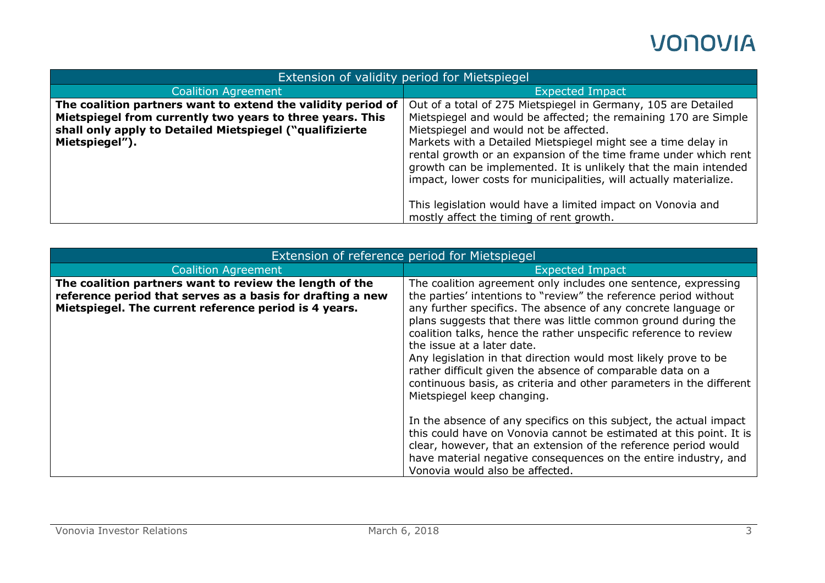| Extension of validity period for Mietspiegel                                                                                                                                                            |                                                                                                                                                                                                                                                                                                                                                                                                                                                                                                                                                                       |
|---------------------------------------------------------------------------------------------------------------------------------------------------------------------------------------------------------|-----------------------------------------------------------------------------------------------------------------------------------------------------------------------------------------------------------------------------------------------------------------------------------------------------------------------------------------------------------------------------------------------------------------------------------------------------------------------------------------------------------------------------------------------------------------------|
| <b>Coalition Agreement</b>                                                                                                                                                                              | <b>Expected Impact</b>                                                                                                                                                                                                                                                                                                                                                                                                                                                                                                                                                |
| The coalition partners want to extend the validity period of<br>Mietspiegel from currently two years to three years. This<br>shall only apply to Detailed Mietspiegel ("qualifizierte<br>Mietspiegel"). | Out of a total of 275 Mietspiegel in Germany, 105 are Detailed<br>Mietspiegel and would be affected; the remaining 170 are Simple<br>Mietspiegel and would not be affected.<br>Markets with a Detailed Mietspiegel might see a time delay in<br>rental growth or an expansion of the time frame under which rent<br>growth can be implemented. It is unlikely that the main intended<br>impact, lower costs for municipalities, will actually materialize.<br>This legislation would have a limited impact on Vonovia and<br>mostly affect the timing of rent growth. |

| Extension of reference period for Mietspiegel                                                                                                                                  |                                                                                                                                                                                                                                                                                                                                                                                                                                                                                                                                                                                                               |
|--------------------------------------------------------------------------------------------------------------------------------------------------------------------------------|---------------------------------------------------------------------------------------------------------------------------------------------------------------------------------------------------------------------------------------------------------------------------------------------------------------------------------------------------------------------------------------------------------------------------------------------------------------------------------------------------------------------------------------------------------------------------------------------------------------|
| <b>Coalition Agreement</b>                                                                                                                                                     | <b>Expected Impact</b>                                                                                                                                                                                                                                                                                                                                                                                                                                                                                                                                                                                        |
| The coalition partners want to review the length of the<br>reference period that serves as a basis for drafting a new<br>Mietspiegel. The current reference period is 4 years. | The coalition agreement only includes one sentence, expressing<br>the parties' intentions to "review" the reference period without<br>any further specifics. The absence of any concrete language or<br>plans suggests that there was little common ground during the<br>coalition talks, hence the rather unspecific reference to review<br>the issue at a later date.<br>Any legislation in that direction would most likely prove to be<br>rather difficult given the absence of comparable data on a<br>continuous basis, as criteria and other parameters in the different<br>Mietspiegel keep changing. |
|                                                                                                                                                                                | In the absence of any specifics on this subject, the actual impact<br>this could have on Vonovia cannot be estimated at this point. It is<br>clear, however, that an extension of the reference period would<br>have material negative consequences on the entire industry, and<br>Vonovia would also be affected.                                                                                                                                                                                                                                                                                            |